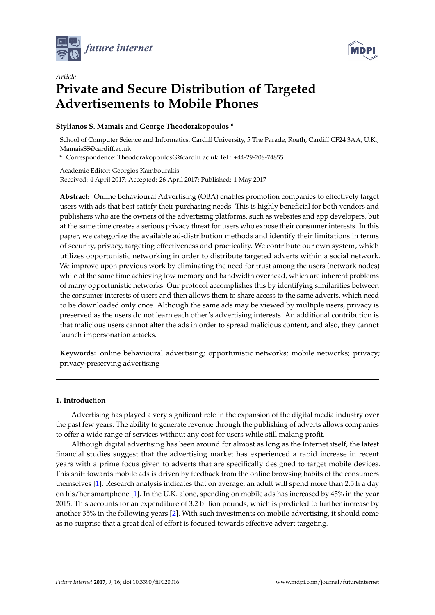



# *Article* **Private and Secure Distribution of Targeted Advertisements to Mobile Phones**

# **Stylianos S. Mamais and George Theodorakopoulos \***

School of Computer Science and Informatics, Cardiff University, 5 The Parade, Roath, Cardiff CF24 3AA, U.K.; MamaisSS@cardiff.ac.uk

**\*** Correspondence: TheodorakopoulosG@cardiff.ac.uk Tel.: +44-29-208-74855

Academic Editor: Georgios Kambourakis Received: 4 April 2017; Accepted: 26 April 2017; Published: 1 May 2017

**Abstract:** Online Behavioural Advertising (OBA) enables promotion companies to effectively target users with ads that best satisfy their purchasing needs. This is highly beneficial for both vendors and publishers who are the owners of the advertising platforms, such as websites and app developers, but at the same time creates a serious privacy threat for users who expose their consumer interests. In this paper, we categorize the available ad-distribution methods and identify their limitations in terms of security, privacy, targeting effectiveness and practicality. We contribute our own system, which utilizes opportunistic networking in order to distribute targeted adverts within a social network. We improve upon previous work by eliminating the need for trust among the users (network nodes) while at the same time achieving low memory and bandwidth overhead, which are inherent problems of many opportunistic networks. Our protocol accomplishes this by identifying similarities between the consumer interests of users and then allows them to share access to the same adverts, which need to be downloaded only once. Although the same ads may be viewed by multiple users, privacy is preserved as the users do not learn each other's advertising interests. An additional contribution is that malicious users cannot alter the ads in order to spread malicious content, and also, they cannot launch impersonation attacks.

**Keywords:** online behavioural advertising; opportunistic networks; mobile networks; privacy; privacy-preserving advertising

# **1. Introduction**

Advertising has played a very significant role in the expansion of the digital media industry over the past few years. The ability to generate revenue through the publishing of adverts allows companies to offer a wide range of services without any cost for users while still making profit.

Although digital advertising has been around for almost as long as the Internet itself, the latest financial studies suggest that the advertising market has experienced a rapid increase in recent years with a prime focus given to adverts that are specifically designed to target mobile devices. This shift towards mobile ads is driven by feedback from the online browsing habits of the consumers themselves [\[1\]](#page-19-0). Research analysis indicates that on average, an adult will spend more than 2.5 h a day on his/her smartphone [\[1\]](#page-19-0). In the U.K. alone, spending on mobile ads has increased by 45% in the year 2015. This accounts for an expenditure of 3.2 billion pounds, which is predicted to further increase by another 35% in the following years [\[2\]](#page-19-1). With such investments on mobile advertising, it should come as no surprise that a great deal of effort is focused towards effective advert targeting.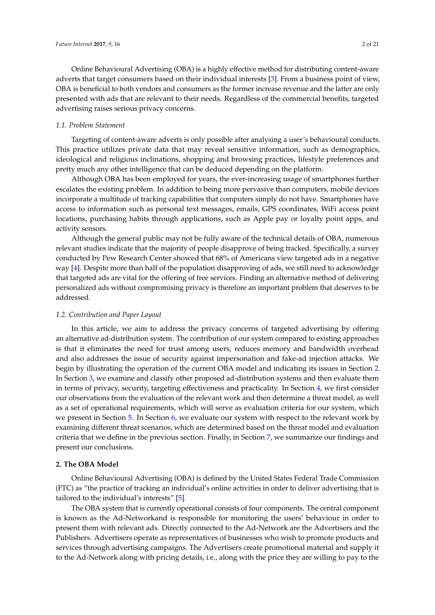Online Behavioural Advertising (OBA) is a highly effective method for distributing content-aware adverts that target consumers based on their individual interests [\[3\]](#page-19-2). From a business point of view, OBA is beneficial to both vendors and consumers as the former increase revenue and the latter are only presented with ads that are relevant to their needs. Regardless of the commercial benefits, targeted advertising raises serious privacy concerns.

# *1.1. Problem Statement*

Targeting of content-aware adverts is only possible after analysing a user's behavioural conducts. This practice utilizes private data that may reveal sensitive information, such as demographics, ideological and religious inclinations, shopping and browsing practices, lifestyle preferences and pretty much any other intelligence that can be deduced depending on the platform.

Although OBA has been employed for years, the ever-increasing usage of smartphones further escalates the existing problem. In addition to being more pervasive than computers, mobile devices incorporate a multitude of tracking capabilities that computers simply do not have. Smartphones have access to information such as personal text messages, emails, GPS coordinates, WiFi access point locations, purchasing habits through applications, such as Apple pay or loyalty point apps, and activity sensors.

Although the general public may not be fully aware of the technical details of OBA, numerous relevant studies indicate that the majority of people disapprove of being tracked. Specifically, a survey conducted by Pew Research Center showed that 68% of Americans view targeted ads in a negative way [\[4\]](#page-19-3). Despite more than half of the population disapproving of ads, we still need to acknowledge that targeted ads are vital for the offering of free services. Finding an alternative method of delivering personalized ads without compromising privacy is therefore an important problem that deserves to be addressed.

## *1.2. Contribution and Paper Layout*

In this article, we aim to address the privacy concerns of targeted advertising by offering an alternative ad-distribution system. The contribution of our system compared to existing approaches is that it eliminates the need for trust among users, reduces memory and bandwidth overhead and also addresses the issue of security against impersonation and fake-ad injection attacks. We begin by illustrating the operation of the current OBA model and indicating its issues in Section [2.](#page-1-0) In Section [3,](#page-2-0) we examine and classify other proposed ad-distribution systems and then evaluate them in terms of privacy, security, targeting effectiveness and practicality. In Section [4,](#page-5-0) we first consider our observations from the evaluation of the relevant work and then determine a threat model, as well as a set of operational requirements, which will serve as evaluation criteria for our system, which we present in Section [5.](#page-6-0) In Section [6,](#page-14-0) we evaluate our system with respect to the relevant work by examining different threat scenarios, which are determined based on the threat model and evaluation criteria that we define in the previous section. Finally, in Section [7,](#page-19-4) we summarize our findings and present our conclusions.

#### <span id="page-1-0"></span>**2. The OBA Model**

Online Behavioural Advertising (OBA) is defined by the United States Federal Trade Commission (FTC) as "the practice of tracking an individual's online activities in order to deliver advertising that is tailored to the individual's interests" [\[5\]](#page-19-5).

The OBA system that is currently operational consists of four components. The central component is known as the Ad-Networkand is responsible for monitoring the users' behaviour in order to present them with relevant ads. Directly connected to the Ad-Network are the Advertisers and the Publishers. Advertisers operate as representatives of businesses who wish to promote products and services through advertising campaigns. The Advertisers create promotional material and supply it to the Ad-Network along with pricing details, i.e., along with the price they are willing to pay to the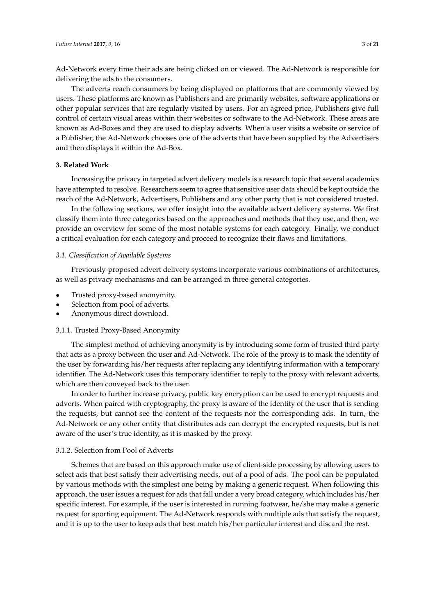Ad-Network every time their ads are being clicked on or viewed. The Ad-Network is responsible for delivering the ads to the consumers.

The adverts reach consumers by being displayed on platforms that are commonly viewed by users. These platforms are known as Publishers and are primarily websites, software applications or other popular services that are regularly visited by users. For an agreed price, Publishers give full control of certain visual areas within their websites or software to the Ad-Network. These areas are known as Ad-Boxes and they are used to display adverts. When a user visits a website or service of a Publisher, the Ad-Network chooses one of the adverts that have been supplied by the Advertisers and then displays it within the Ad-Box.

## <span id="page-2-0"></span>**3. Related Work**

Increasing the privacy in targeted advert delivery models is a research topic that several academics have attempted to resolve. Researchers seem to agree that sensitive user data should be kept outside the reach of the Ad-Network, Advertisers, Publishers and any other party that is not considered trusted.

In the following sections, we offer insight into the available advert delivery systems. We first classify them into three categories based on the approaches and methods that they use, and then, we provide an overview for some of the most notable systems for each category. Finally, we conduct a critical evaluation for each category and proceed to recognize their flaws and limitations.

#### *3.1. Classification of Available Systems*

Previously-proposed advert delivery systems incorporate various combinations of architectures, as well as privacy mechanisms and can be arranged in three general categories.

- Trusted proxy-based anonymity.
- Selection from pool of adverts.
- Anonymous direct download.

# 3.1.1. Trusted Proxy-Based Anonymity

The simplest method of achieving anonymity is by introducing some form of trusted third party that acts as a proxy between the user and Ad-Network. The role of the proxy is to mask the identity of the user by forwarding his/her requests after replacing any identifying information with a temporary identifier. The Ad-Network uses this temporary identifier to reply to the proxy with relevant adverts, which are then conveyed back to the user.

In order to further increase privacy, public key encryption can be used to encrypt requests and adverts. When paired with cryptography, the proxy is aware of the identity of the user that is sending the requests, but cannot see the content of the requests nor the corresponding ads. In turn, the Ad-Network or any other entity that distributes ads can decrypt the encrypted requests, but is not aware of the user's true identity, as it is masked by the proxy.

# 3.1.2. Selection from Pool of Adverts

Schemes that are based on this approach make use of client-side processing by allowing users to select ads that best satisfy their advertising needs, out of a pool of ads. The pool can be populated by various methods with the simplest one being by making a generic request. When following this approach, the user issues a request for ads that fall under a very broad category, which includes his/her specific interest. For example, if the user is interested in running footwear, he/she may make a generic request for sporting equipment. The Ad-Network responds with multiple ads that satisfy the request, and it is up to the user to keep ads that best match his/her particular interest and discard the rest.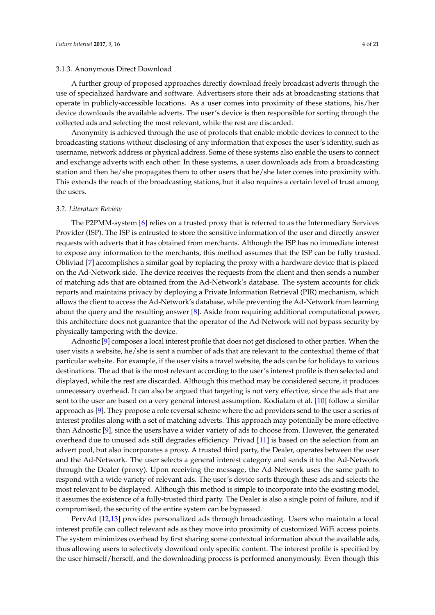A further group of proposed approaches directly download freely broadcast adverts through the use of specialized hardware and software. Advertisers store their ads at broadcasting stations that operate in publicly-accessible locations. As a user comes into proximity of these stations, his/her device downloads the available adverts. The user's device is then responsible for sorting through the collected ads and selecting the most relevant, while the rest are discarded.

Anonymity is achieved through the use of protocols that enable mobile devices to connect to the broadcasting stations without disclosing of any information that exposes the user's identity, such as username, network address or physical address. Some of these systems also enable the users to connect and exchange adverts with each other. In these systems, a user downloads ads from a broadcasting station and then he/she propagates them to other users that he/she later comes into proximity with. This extends the reach of the broadcasting stations, but it also requires a certain level of trust among the users.

#### *3.2. Literature Review*

The P2PMM-system [\[6\]](#page-19-6) relies on a trusted proxy that is referred to as the Intermediary Services Provider (ISP). The ISP is entrusted to store the sensitive information of the user and directly answer requests with adverts that it has obtained from merchants. Although the ISP has no immediate interest to expose any information to the merchants, this method assumes that the ISP can be fully trusted. Obliviad [\[7\]](#page-19-7) accomplishes a similar goal by replacing the proxy with a hardware device that is placed on the Ad-Network side. The device receives the requests from the client and then sends a number of matching ads that are obtained from the Ad-Network's database. The system accounts for click reports and maintains privacy by deploying a Private Information Retrieval (PIR) mechanism, which allows the client to access the Ad-Network's database, while preventing the Ad-Network from learning about the query and the resulting answer [\[8\]](#page-19-8). Aside from requiring additional computational power, this architecture does not guarantee that the operator of the Ad-Network will not bypass security by physically tampering with the device.

Adnostic [\[9\]](#page-20-0) composes a local interest profile that does not get disclosed to other parties. When the user visits a website, he/she is sent a number of ads that are relevant to the contextual theme of that particular website. For example, if the user visits a travel website, the ads can be for holidays to various destinations. The ad that is the most relevant according to the user's interest profile is then selected and displayed, while the rest are discarded. Although this method may be considered secure, it produces unnecessary overhead. It can also be argued that targeting is not very effective, since the ads that are sent to the user are based on a very general interest assumption. Kodialam et al. [\[10\]](#page-20-1) follow a similar approach as [\[9\]](#page-20-0). They propose a role reversal scheme where the ad providers send to the user a series of interest profiles along with a set of matching adverts. This approach may potentially be more effective than Adnostic [\[9\]](#page-20-0), since the users have a wider variety of ads to choose from. However, the generated overhead due to unused ads still degrades efficiency. Privad [\[11\]](#page-20-2) is based on the selection from an advert pool, but also incorporates a proxy. A trusted third party, the Dealer, operates between the user and the Ad-Network. The user selects a general interest category and sends it to the Ad-Network through the Dealer (proxy). Upon receiving the message, the Ad-Network uses the same path to respond with a wide variety of relevant ads. The user's device sorts through these ads and selects the most relevant to be displayed. Although this method is simple to incorporate into the existing model, it assumes the existence of a fully-trusted third party. The Dealer is also a single point of failure, and if compromised, the security of the entire system can be bypassed.

PervAd [\[12,](#page-20-3)[13\]](#page-20-4) provides personalized ads through broadcasting. Users who maintain a local interest profile can collect relevant ads as they move into proximity of customized WiFi access points. The system minimizes overhead by first sharing some contextual information about the available ads, thus allowing users to selectively download only specific content. The interest profile is specified by the user himself/herself, and the downloading process is performed anonymously. Even though this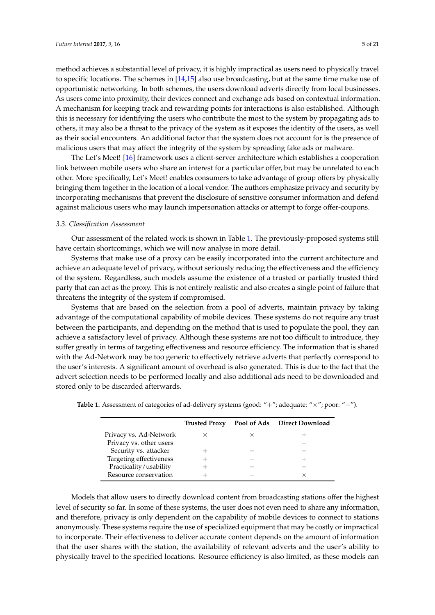method achieves a substantial level of privacy, it is highly impractical as users need to physically travel to specific locations. The schemes in [\[14](#page-20-5)[,15\]](#page-20-6) also use broadcasting, but at the same time make use of opportunistic networking. In both schemes, the users download adverts directly from local businesses. As users come into proximity, their devices connect and exchange ads based on contextual information. A mechanism for keeping track and rewarding points for interactions is also established. Although this is necessary for identifying the users who contribute the most to the system by propagating ads to others, it may also be a threat to the privacy of the system as it exposes the identity of the users, as well as their social encounters. An additional factor that the system does not account for is the presence of malicious users that may affect the integrity of the system by spreading fake ads or malware.

The Let's Meet! [\[16\]](#page-20-7) framework uses a client-server architecture which establishes a cooperation link between mobile users who share an interest for a particular offer, but may be unrelated to each other. More specifically, Let's Meet! enables consumers to take advantage of group offers by physically bringing them together in the location of a local vendor. The authors emphasize privacy and security by incorporating mechanisms that prevent the disclosure of sensitive consumer information and defend against malicious users who may launch impersonation attacks or attempt to forge offer-coupons.

### *3.3. Classification Assessment*

Our assessment of the related work is shown in Table [1.](#page-4-0) The previously-proposed systems still have certain shortcomings, which we will now analyse in more detail.

Systems that make use of a proxy can be easily incorporated into the current architecture and achieve an adequate level of privacy, without seriously reducing the effectiveness and the efficiency of the system. Regardless, such models assume the existence of a trusted or partially trusted third party that can act as the proxy. This is not entirely realistic and also creates a single point of failure that threatens the integrity of the system if compromised.

Systems that are based on the selection from a pool of adverts, maintain privacy by taking advantage of the computational capability of mobile devices. These systems do not require any trust between the participants, and depending on the method that is used to populate the pool, they can achieve a satisfactory level of privacy. Although these systems are not too difficult to introduce, they suffer greatly in terms of targeting effectiveness and resource efficiency. The information that is shared with the Ad-Network may be too generic to effectively retrieve adverts that perfectly correspond to the user's interests. A significant amount of overhead is also generated. This is due to the fact that the advert selection needs to be performed locally and also additional ads need to be downloaded and stored only to be discarded afterwards.

|                         | <b>Trusted Proxy</b> | Pool of Ads Direct Download |
|-------------------------|----------------------|-----------------------------|
| Privacy vs. Ad-Network  |                      |                             |
| Privacy vs. other users |                      |                             |
| Security vs. attacker   |                      |                             |
| Targeting effectiveness |                      |                             |
| Practicality/usability  |                      |                             |
| Resource conservation   |                      |                             |

<span id="page-4-0"></span>**Table 1.** Assessment of categories of ad-delivery systems (good: "+"; adequate: "×"; poor: "−").

Models that allow users to directly download content from broadcasting stations offer the highest level of security so far. In some of these systems, the user does not even need to share any information, and therefore, privacy is only dependent on the capability of mobile devices to connect to stations anonymously. These systems require the use of specialized equipment that may be costly or impractical to incorporate. Their effectiveness to deliver accurate content depends on the amount of information that the user shares with the station, the availability of relevant adverts and the user's ability to physically travel to the specified locations. Resource efficiency is also limited, as these models can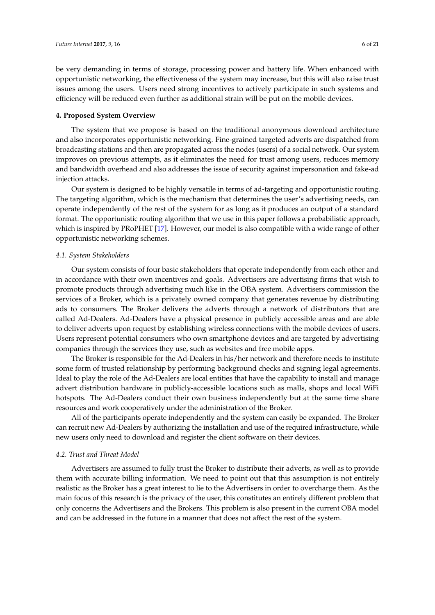be very demanding in terms of storage, processing power and battery life. When enhanced with opportunistic networking, the effectiveness of the system may increase, but this will also raise trust issues among the users. Users need strong incentives to actively participate in such systems and efficiency will be reduced even further as additional strain will be put on the mobile devices.

# <span id="page-5-0"></span>**4. Proposed System Overview**

The system that we propose is based on the traditional anonymous download architecture and also incorporates opportunistic networking. Fine-grained targeted adverts are dispatched from broadcasting stations and then are propagated across the nodes (users) of a social network. Our system improves on previous attempts, as it eliminates the need for trust among users, reduces memory and bandwidth overhead and also addresses the issue of security against impersonation and fake-ad injection attacks.

Our system is designed to be highly versatile in terms of ad-targeting and opportunistic routing. The targeting algorithm, which is the mechanism that determines the user's advertising needs, can operate independently of the rest of the system for as long as it produces an output of a standard format. The opportunistic routing algorithm that we use in this paper follows a probabilistic approach, which is inspired by PRoPHET [\[17\]](#page-20-8). However, our model is also compatible with a wide range of other opportunistic networking schemes.

#### *4.1. System Stakeholders*

Our system consists of four basic stakeholders that operate independently from each other and in accordance with their own incentives and goals. Advertisers are advertising firms that wish to promote products through advertising much like in the OBA system. Advertisers commission the services of a Broker, which is a privately owned company that generates revenue by distributing ads to consumers. The Broker delivers the adverts through a network of distributors that are called Ad-Dealers. Ad-Dealers have a physical presence in publicly accessible areas and are able to deliver adverts upon request by establishing wireless connections with the mobile devices of users. Users represent potential consumers who own smartphone devices and are targeted by advertising companies through the services they use, such as websites and free mobile apps.

The Broker is responsible for the Ad-Dealers in his/her network and therefore needs to institute some form of trusted relationship by performing background checks and signing legal agreements. Ideal to play the role of the Ad-Dealers are local entities that have the capability to install and manage advert distribution hardware in publicly-accessible locations such as malls, shops and local WiFi hotspots. The Ad-Dealers conduct their own business independently but at the same time share resources and work cooperatively under the administration of the Broker.

All of the participants operate independently and the system can easily be expanded. The Broker can recruit new Ad-Dealers by authorizing the installation and use of the required infrastructure, while new users only need to download and register the client software on their devices.

#### *4.2. Trust and Threat Model*

Advertisers are assumed to fully trust the Broker to distribute their adverts, as well as to provide them with accurate billing information. We need to point out that this assumption is not entirely realistic as the Broker has a great interest to lie to the Advertisers in order to overcharge them. As the main focus of this research is the privacy of the user, this constitutes an entirely different problem that only concerns the Advertisers and the Brokers. This problem is also present in the current OBA model and can be addressed in the future in a manner that does not affect the rest of the system.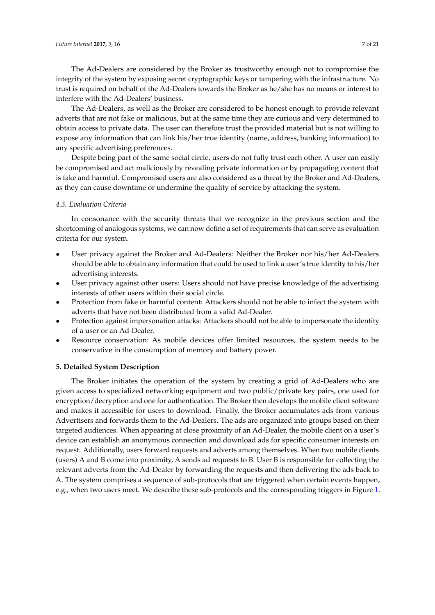The Ad-Dealers are considered by the Broker as trustworthy enough not to compromise the integrity of the system by exposing secret cryptographic keys or tampering with the infrastructure. No trust is required on behalf of the Ad-Dealers towards the Broker as he/she has no means or interest to interfere with the Ad-Dealers' business.

The Ad-Dealers, as well as the Broker are considered to be honest enough to provide relevant adverts that are not fake or malicious, but at the same time they are curious and very determined to obtain access to private data. The user can therefore trust the provided material but is not willing to expose any information that can link his/her true identity (name, address, banking information) to any specific advertising preferences.

Despite being part of the same social circle, users do not fully trust each other. A user can easily be compromised and act maliciously by revealing private information or by propagating content that is fake and harmful. Compromised users are also considered as a threat by the Broker and Ad-Dealers, as they can cause downtime or undermine the quality of service by attacking the system.

# <span id="page-6-1"></span>*4.3. Evaluation Criteria*

In consonance with the security threats that we recognize in the previous section and the shortcoming of analogous systems, we can now define a set of requirements that can serve as evaluation criteria for our system.

- User privacy against the Broker and Ad-Dealers: Neither the Broker nor his/her Ad-Dealers should be able to obtain any information that could be used to link a user's true identity to his/her advertising interests.
- User privacy against other users: Users should not have precise knowledge of the advertising interests of other users within their social circle.
- Protection from fake or harmful content: Attackers should not be able to infect the system with adverts that have not been distributed from a valid Ad-Dealer.
- Protection against impersonation attacks: Attackers should not be able to impersonate the identity of a user or an Ad-Dealer.
- Resource conservation: As mobile devices offer limited resources, the system needs to be conservative in the consumption of memory and battery power.

# <span id="page-6-0"></span>**5. Detailed System Description**

The Broker initiates the operation of the system by creating a grid of Ad-Dealers who are given access to specialized networking equipment and two public/private key pairs, one used for encryption/decryption and one for authentication. The Broker then develops the mobile client software and makes it accessible for users to download. Finally, the Broker accumulates ads from various Advertisers and forwards them to the Ad-Dealers. The ads are organized into groups based on their targeted audiences. When appearing at close proximity of an Ad-Dealer, the mobile client on a user's device can establish an anonymous connection and download ads for specific consumer interests on request. Additionally, users forward requests and adverts among themselves. When two mobile clients (users) A and B come into proximity, A sends ad requests to B. User B is responsible for collecting the relevant adverts from the Ad-Dealer by forwarding the requests and then delivering the ads back to A. The system comprises a sequence of sub-protocols that are triggered when certain events happen, e.g., when two users meet. We describe these sub-protocols and the corresponding triggers in Figure [1.](#page-7-0)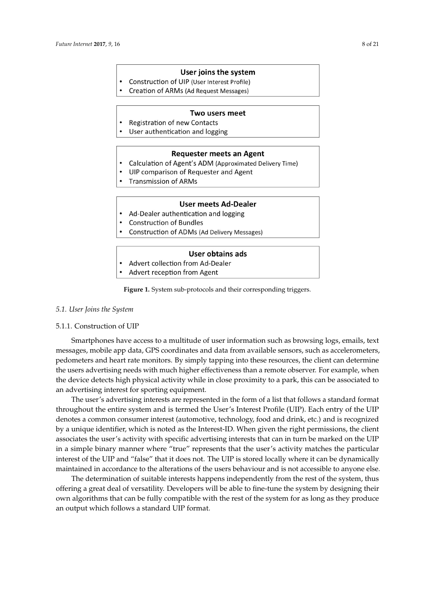#### User joins the system

- <span id="page-7-0"></span>Construction of UIP (User Interest Profile)
- Creation of ARMs (Ad Request Messages)

#### Two users meet

- Registration of new Contacts  $\bullet$
- User authentication and logging

#### **Requester meets an Agent**

- Calculation of Agent's ADM (Approximated Delivery Time)
	- UIP comparison of Requester and Agent
- **Transmission of ARMs**

# **User meets Ad-Dealer**

- Ad-Dealer authentication and logging
- **Construction of Bundles**
- Construction of ADMs (Ad Delivery Messages)

# User obtains ads

- Advert collection from Ad-Dealer
- Advert reception from Agent

**Figure 1.** System sub-protocols and their corresponding triggers.

# *5.1. User Joins the System*

# 5.1.1. Construction of UIP

Smartphones have access to a multitude of user information such as browsing logs, emails, text messages, mobile app data, GPS coordinates and data from available sensors, such as accelerometers, pedometers and heart rate monitors. By simply tapping into these resources, the client can determine the users advertising needs with much higher effectiveness than a remote observer. For example, when the device detects high physical activity while in close proximity to a park, this can be associated to an advertising interest for sporting equipment.

The user's advertising interests are represented in the form of a list that follows a standard format throughout the entire system and is termed the User's Interest Profile (UIP). Each entry of the UIP denotes a common consumer interest (automotive, technology, food and drink, etc.) and is recognized by a unique identifier, which is noted as the Interest-ID. When given the right permissions, the client associates the user's activity with specific advertising interests that can in turn be marked on the UIP in a simple binary manner where "true" represents that the user's activity matches the particular interest of the UIP and "false" that it does not. The UIP is stored locally where it can be dynamically maintained in accordance to the alterations of the users behaviour and is not accessible to anyone else.

The determination of suitable interests happens independently from the rest of the system, thus offering a great deal of versatility. Developers will be able to fine-tune the system by designing their own algorithms that can be fully compatible with the rest of the system for as long as they produce an output which follows a standard UIP format.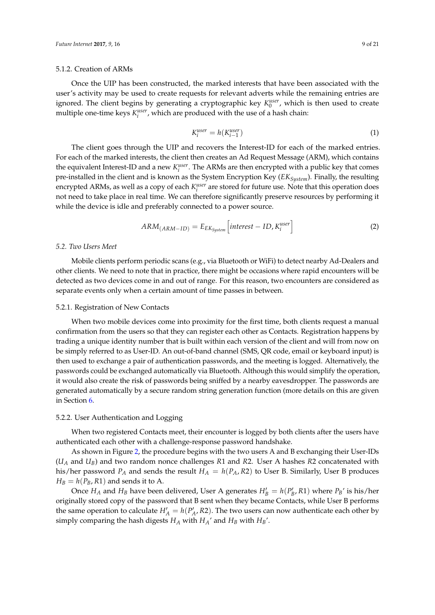#### 5.1.2. Creation of ARMs

Once the UIP has been constructed, the marked interests that have been associated with the user's activity may be used to create requests for relevant adverts while the remaining entries are ignored. The client begins by generating a cryptographic key  $K_0^{user}$ , which is then used to create multiple one-time keys  $K_i^{user}$ , which are produced with the use of a hash chain:

$$
K_i^{user} = h(K_{i-1}^{user})
$$
\n<sup>(1)</sup>

The client goes through the UIP and recovers the Interest-ID for each of the marked entries. For each of the marked interests, the client then creates an Ad Request Message (ARM), which contains the equivalent Interest-ID and a new  $K_i^{user}$ . The ARMs are then encrypted with a public key that comes pre-installed in the client and is known as the System Encryption Key (*EKSystem*). Finally, the resulting encrypted ARMs, as well as a copy of each  $K_i^{user}$  are stored for future use. Note that this operation does not need to take place in real time. We can therefore significantly preserve resources by performing it while the device is idle and preferably connected to a power source.

$$
ARM_{(ARM-ID)} = E_{EK_{System}}\left[interest - ID, K_i^{user}\right]
$$
 (2)

#### *5.2. Two Users Meet*

Mobile clients perform periodic scans (e.g., via Bluetooth or WiFi) to detect nearby Ad-Dealers and other clients. We need to note that in practice, there might be occasions where rapid encounters will be detected as two devices come in and out of range. For this reason, two encounters are considered as separate events only when a certain amount of time passes in between.

# 5.2.1. Registration of New Contacts

When two mobile devices come into proximity for the first time, both clients request a manual confirmation from the users so that they can register each other as Contacts. Registration happens by trading a unique identity number that is built within each version of the client and will from now on be simply referred to as User-ID. An out-of-band channel (SMS, QR code, email or keyboard input) is then used to exchange a pair of authentication passwords, and the meeting is logged. Alternatively, the passwords could be exchanged automatically via Bluetooth. Although this would simplify the operation, it would also create the risk of passwords being sniffed by a nearby eavesdropper. The passwords are generated automatically by a secure random string generation function (more details on this are given in Section [6.](#page-14-0)

#### 5.2.2. User Authentication and Logging

When two registered Contacts meet, their encounter is logged by both clients after the users have authenticated each other with a challenge-response password handshake.

As shown in Figure [2,](#page-9-0) the procedure begins with the two users A and B exchanging their User-IDs (*U<sup>A</sup>* and *UB*) and two random nonce challenges *R*1 and *R*2. User A hashes *R*2 concatenated with his/her password  $P_A$  and sends the result  $H_A = h(P_A, R2)$  to User B. Similarly, User B produces  $H_B = h(P_B, R1)$  and sends it to A.

Once  $H_A$  and  $H_B$  have been delivered, User A generates  $H'_B = h(P'_B, R1)$  where  $P_B'$  is his/her originally stored copy of the password that B sent when they became Contacts, while User B performs the same operation to calculate  $H'_{A} = h(P'_{A}, R2)$ . The two users can now authenticate each other by simply comparing the hash digests  $H_A$  with  $H_A'$  and  $H_B$  with  $H_B'$ .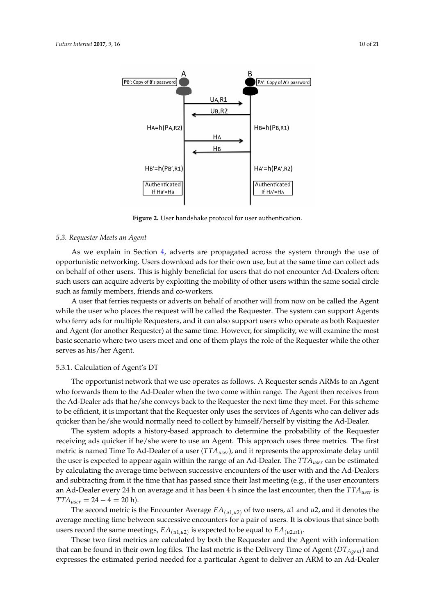<span id="page-9-0"></span>

**Figure 2.** User handshake protocol for user authentication.

# *5.3. Requester Meets an Agent*

As we explain in Section [4,](#page-5-0) adverts are propagated across the system through the use of opportunistic networking. Users download ads for their own use, but at the same time can collect ads on behalf of other users. This is highly beneficial for users that do not encounter Ad-Dealers often: such users can acquire adverts by exploiting the mobility of other users within the same social circle such as family members, friends and co-workers.

A user that ferries requests or adverts on behalf of another will from now on be called the Agent while the user who places the request will be called the Requester. The system can support Agents who ferry ads for multiple Requesters, and it can also support users who operate as both Requester and Agent (for another Requester) at the same time. However, for simplicity, we will examine the most basic scenario where two users meet and one of them plays the role of the Requester while the other serves as his/her Agent.

# 5.3.1. Calculation of Agent's DT

The opportunist network that we use operates as follows. A Requester sends ARMs to an Agent who forwards them to the Ad-Dealer when the two come within range. The Agent then receives from the Ad-Dealer ads that he/she conveys back to the Requester the next time they meet. For this scheme to be efficient, it is important that the Requester only uses the services of Agents who can deliver ads quicker than he/she would normally need to collect by himself/herself by visiting the Ad-Dealer.

The system adopts a history-based approach to determine the probability of the Requester receiving ads quicker if he/she were to use an Agent. This approach uses three metrics. The first metric is named Time To Ad-Dealer of a user (*TTAuser*), and it represents the approximate delay until the user is expected to appear again within the range of an Ad-Dealer. The *TTAuser* can be estimated by calculating the average time between successive encounters of the user with and the Ad-Dealers and subtracting from it the time that has passed since their last meeting (e.g., if the user encounters an Ad-Dealer every 24 h on average and it has been 4 h since the last encounter, then the *TTAuser* is  $TTA_{user} = 24 - 4 = 20$  h).

The second metric is the Encounter Average  $EA_{(u1,u2)}$  of two users,  $u1$  and  $u2$ , and it denotes the average meeting time between successive encounters for a pair of users. It is obvious that since both users record the same meetings,  $EA_{(u1,u2)}$  is expected to be equal to  $EA_{(u2,u1)}$ .

These two first metrics are calculated by both the Requester and the Agent with information that can be found in their own log files. The last metric is the Delivery Time of Agent (*DTAgent*) and expresses the estimated period needed for a particular Agent to deliver an ARM to an Ad-Dealer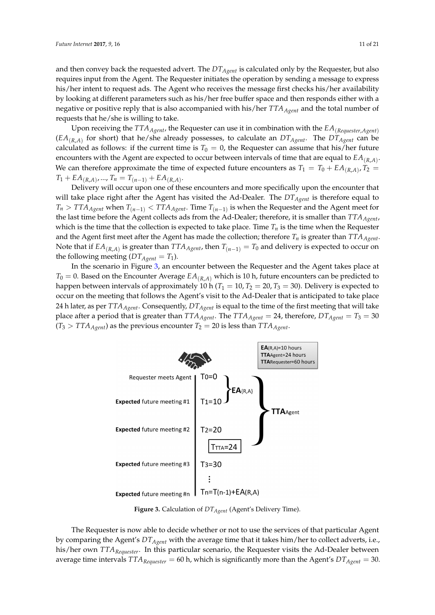and then convey back the requested advert. The *DTAgent* is calculated only by the Requester, but also requires input from the Agent. The Requester initiates the operation by sending a message to express his/her intent to request ads. The Agent who receives the message first checks his/her availability by looking at different parameters such as his/her free buffer space and then responds either with a negative or positive reply that is also accompanied with his/her *TTAAgent* and the total number of requests that he/she is willing to take.

Upon receiving the *TTAAgent*, the Requester can use it in combination with the *EA*(*Requester*,*Agent*)  $(\mathit{EA}_{(R,A)}$  for short) that he/she already possesses, to calculate an  $DT_{Agent}$ . The  $DT_{Agent}$  can be calculated as follows: if the current time is  $T_0 = 0$ , the Requester can assume that his/her future encounters with the Agent are expected to occur between intervals of time that are equal to *EA*(*R*,*A*) . We can therefore approximate the time of expected future encounters as  $T_1 = T_0 + EA_{(R,A)}$ ,  $T_2 =$  $T_1 + EA_{(R,A)}, \dots, T_n = T_{(n-1)} + EA_{(R,A)}.$ 

Delivery will occur upon one of these encounters and more specifically upon the encounter that will take place right after the Agent has visited the Ad-Dealer. The *DTAgent* is therefore equal to  $T_n > TTA_{Agent}$  when  $T_{(n-1)} < TTA_{Agent}$ . Time  $T_{(n-1)}$  is when the Requester and the Agent meet for the last time before the Agent collects ads from the Ad-Dealer; therefore, it is smaller than *TTAAgent*, which is the time that the collection is expected to take place. Time  $T<sub>n</sub>$  is the time when the Requester and the Agent first meet after the Agent has made the collection; therefore  $T_n$  is greater than  $TTA_{Agent}$ . Note that if  $EA_{(R,A)}$  is greater than  $TTA_{Agent}$ , then  $T_{(n-1)} = T_0$  and delivery is expected to occur on the following meeting  $(DT_{Agent} = T_1)$ .

In the scenario in Figure [3,](#page-10-0) an encounter between the Requester and the Agent takes place at  $T_0 = 0$ . Based on the Encounter Average  $EA_{(R,A)}$  which is 10 h, future encounters can be predicted to happen between intervals of approximately 10 h ( $T_1 = 10$ ,  $T_2 = 20$ ,  $T_3 = 30$ ). Delivery is expected to occur on the meeting that follows the Agent's visit to the Ad-Dealer that is anticipated to take place 24 h later, as per *TTAAgent*. Consequently, *DTAgent* is equal to the time of the first meeting that will take place after a period that is greater than  $TTA_{Agent}$ . The  $TTA_{Agent} = 24$ , therefore,  $DT_{Agent} = T_3 = 30$  $(T_3 > TTA_{Agent})$  as the previous encounter  $T_2 = 20$  is less than  $TTA_{Agent}$ .

<span id="page-10-0"></span>

**Figure 3.** Calculation of *DTAgent* (Agent's Delivery Time).

The Requester is now able to decide whether or not to use the services of that particular Agent by comparing the Agent's *DTAgent* with the average time that it takes him/her to collect adverts, i.e., his/her own *TTARequester*. In this particular scenario, the Requester visits the Ad-Dealer between average time intervals  $TTA_{Requester} = 60$  h, which is significantly more than the Agent's  $DT_{Agent} = 30$ .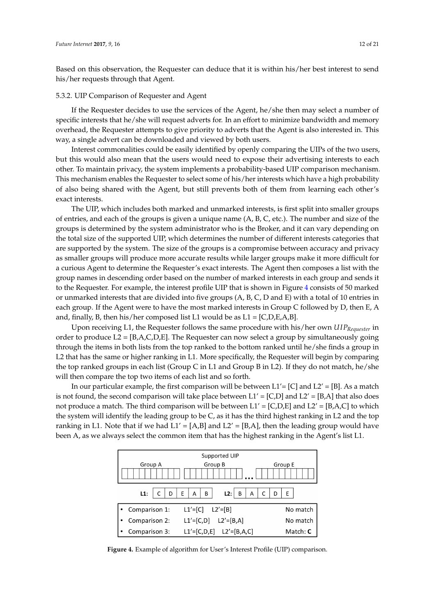Based on this observation, the Requester can deduce that it is within his/her best interest to send his/her requests through that Agent.

#### 5.3.2. UIP Comparison of Requester and Agent

If the Requester decides to use the services of the Agent, he/she then may select a number of specific interests that he/she will request adverts for. In an effort to minimize bandwidth and memory overhead, the Requester attempts to give priority to adverts that the Agent is also interested in. This way, a single advert can be downloaded and viewed by both users.

Interest commonalities could be easily identified by openly comparing the UIPs of the two users, but this would also mean that the users would need to expose their advertising interests to each other. To maintain privacy, the system implements a probability-based UIP comparison mechanism. This mechanism enables the Requester to select some of his/her interests which have a high probability of also being shared with the Agent, but still prevents both of them from learning each other's exact interests.

The UIP, which includes both marked and unmarked interests, is first split into smaller groups of entries, and each of the groups is given a unique name (A, B, C, etc.). The number and size of the groups is determined by the system administrator who is the Broker, and it can vary depending on the total size of the supported UIP, which determines the number of different interests categories that are supported by the system. The size of the groups is a compromise between accuracy and privacy as smaller groups will produce more accurate results while larger groups make it more difficult for a curious Agent to determine the Requester's exact interests. The Agent then composes a list with the group names in descending order based on the number of marked interests in each group and sends it to the Requester. For example, the interest profile UIP that is shown in Figure [4](#page-11-0) consists of 50 marked or unmarked interests that are divided into five groups (A, B, C, D and E) with a total of 10 entries in each group. If the Agent were to have the most marked interests in Group C followed by D, then E, A and, finally, B, then his/her composed list L1 would be as  $L1 = [C, D, E, A, B]$ .

Upon receiving L1, the Requester follows the same procedure with his/her own *U IPRequester* in order to produce  $L_2 = [B,A,C,D,E]$ . The Requester can now select a group by simultaneously going through the items in both lists from the top ranked to the bottom ranked until he/she finds a group in L2 that has the same or higher ranking in L1. More specifically, the Requester will begin by comparing the top ranked groups in each list (Group C in L1 and Group B in L2). If they do not match, he/she will then compare the top two items of each list and so forth.

In our particular example, the first comparison will be between  $L1' = [C]$  and  $L2' = [B]$ . As a match is not found, the second comparison will take place between  $L1' = [C,D]$  and  $L2' = [B,A]$  that also does not produce a match. The third comparison will be between  $L1' = [C, D, E]$  and  $L2' = [B, A, C]$  to which the system will identify the leading group to be C, as it has the third highest ranking in L2 and the top ranking in L1. Note that if we had  $L1' = [A,B]$  and  $L2' = [B,A]$ , then the leading group would have been A, as we always select the common item that has the highest ranking in the Agent's list L1.

<span id="page-11-0"></span>

**Figure 4.** Example of algorithm for User's Interest Profile (UIP) comparison.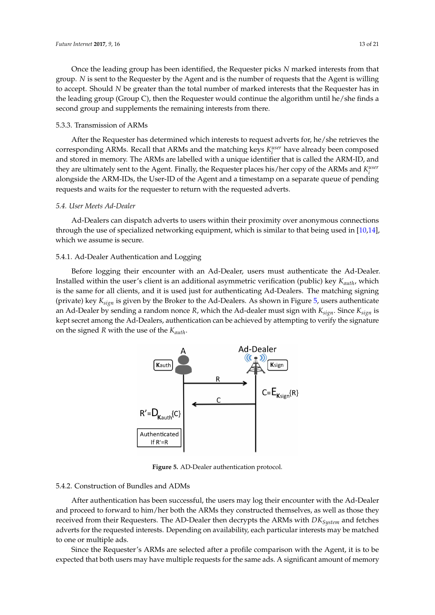Once the leading group has been identified, the Requester picks *N* marked interests from that group. *N* is sent to the Requester by the Agent and is the number of requests that the Agent is willing to accept. Should *N* be greater than the total number of marked interests that the Requester has in the leading group (Group C), then the Requester would continue the algorithm until he/she finds a second group and supplements the remaining interests from there.

## 5.3.3. Transmission of ARMs

After the Requester has determined which interests to request adverts for, he/she retrieves the corresponding ARMs. Recall that ARMs and the matching keys  $K_i^{user}$  have already been composed and stored in memory. The ARMs are labelled with a unique identifier that is called the ARM-ID, and they are ultimately sent to the Agent. Finally, the Requester places his/her copy of the ARMs and  $K_i^{user}$ alongside the ARM-IDs, the User-ID of the Agent and a timestamp on a separate queue of pending requests and waits for the requester to return with the requested adverts.

# *5.4. User Meets Ad-Dealer*

Ad-Dealers can dispatch adverts to users within their proximity over anonymous connections through the use of specialized networking equipment, which is similar to that being used in [\[10,](#page-20-1)[14\]](#page-20-5), which we assume is secure.

# 5.4.1. Ad-Dealer Authentication and Logging

<span id="page-12-0"></span>Before logging their encounter with an Ad-Dealer, users must authenticate the Ad-Dealer. Installed within the user's client is an additional asymmetric verification (public) key *Kauth*, which is the same for all clients, and it is used just for authenticating Ad-Dealers. The matching signing (private) key *Ksign* is given by the Broker to the Ad-Dealers. As shown in Figure [5,](#page-12-0) users authenticate an Ad-Dealer by sending a random nonce *R*, which the Ad-dealer must sign with *Ksign*. Since *Ksign* is kept secret among the Ad-Dealers, authentication can be achieved by attempting to verify the signature on the signed *R* with the use of the *Kauth*.



**Figure 5.** AD-Dealer authentication protocol.

#### 5.4.2. Construction of Bundles and ADMs

After authentication has been successful, the users may log their encounter with the Ad-Dealer and proceed to forward to him/her both the ARMs they constructed themselves, as well as those they received from their Requesters. The AD-Dealer then decrypts the ARMs with *DKSystem* and fetches adverts for the requested interests. Depending on availability, each particular interests may be matched to one or multiple ads.

Since the Requester's ARMs are selected after a profile comparison with the Agent, it is to be expected that both users may have multiple requests for the same ads. A significant amount of memory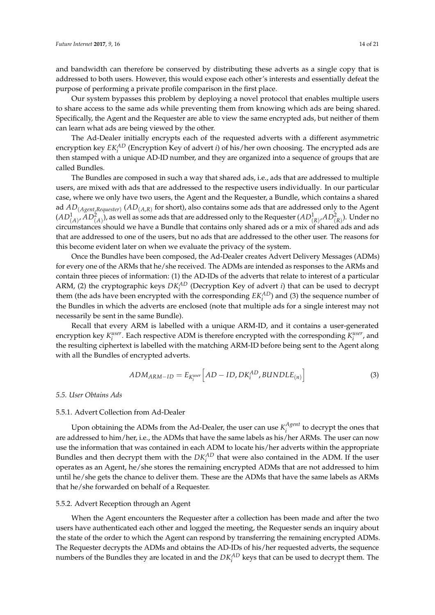and bandwidth can therefore be conserved by distributing these adverts as a single copy that is addressed to both users. However, this would expose each other's interests and essentially defeat the purpose of performing a private profile comparison in the first place.

Our system bypasses this problem by deploying a novel protocol that enables multiple users to share access to the same ads while preventing them from knowing which ads are being shared. Specifically, the Agent and the Requester are able to view the same encrypted ads, but neither of them can learn what ads are being viewed by the other.

The Ad-Dealer initially encrypts each of the requested adverts with a different asymmetric encryption key *EKAD i* (Encryption Key of advert *i*) of his/her own choosing. The encrypted ads are then stamped with a unique AD-ID number, and they are organized into a sequence of groups that are called Bundles.

The Bundles are composed in such a way that shared ads, i.e., ads that are addressed to multiple users, are mixed with ads that are addressed to the respective users individually. In our particular case, where we only have two users, the Agent and the Requester, a Bundle, which contains a shared ad *AD*(*Agent*,*Requester*) (*AD*(*A*,*R*) for short), also contains some ads that are addressed only to the Agent  $(AD^1_{(A)},AD^2_{(A)}),$  as well as some ads that are addressed only to the Requester  $(AD^1_{(R)},AD^2_{(R)}).$  Under no circumstances should we have a Bundle that contains only shared ads or a mix of shared ads and ads that are addressed to one of the users, but no ads that are addressed to the other user. The reasons for this become evident later on when we evaluate the privacy of the system.

Once the Bundles have been composed, the Ad-Dealer creates Advert Delivery Messages (ADMs) for every one of the ARMs that he/she received. The ADMs are intended as responses to the ARMs and contain three pieces of information: (1) the AD-IDs of the adverts that relate to interest of a particular ARM, (2) the cryptographic keys  $DK_i^{AD}$  (Decryption Key of advert *i*) that can be used to decrypt them (the ads have been encrypted with the corresponding  $EK_i^{AD}$ ) and (3) the sequence number of the Bundles in which the adverts are enclosed (note that multiple ads for a single interest may not necessarily be sent in the same Bundle).

Recall that every ARM is labelled with a unique ARM-ID, and it contains a user-generated encryption key  $K_i^{user}$ . Each respective ADM is therefore encrypted with the corresponding  $K_i^{user}$ , and the resulting ciphertext is labelled with the matching ARM-ID before being sent to the Agent along with all the Bundles of encrypted adverts.

$$
ADM_{ARM-ID} = E_{K_i^{user}}\Big[AD - ID, DK_i^{AD}, BUNDLE_{(n)}\Big]
$$
\n(3)

#### *5.5. User Obtains Ads*

# 5.5.1. Advert Collection from Ad-Dealer

Upon obtaining the ADMs from the Ad-Dealer, the user can use  $K_i^{Agent}$  $i$ <sup>t</sup> is<sup>the</sup> to decrypt the ones that are addressed to him/her, i.e., the ADMs that have the same labels as his/her ARMs. The user can now use the information that was contained in each ADM to locate his/her adverts within the appropriate Bundles and then decrypt them with the  $DK_i^{AD}$  that were also contained in the ADM. If the user operates as an Agent, he/she stores the remaining encrypted ADMs that are not addressed to him until he/she gets the chance to deliver them. These are the ADMs that have the same labels as ARMs that he/she forwarded on behalf of a Requester.

#### 5.5.2. Advert Reception through an Agent

When the Agent encounters the Requester after a collection has been made and after the two users have authenticated each other and logged the meeting, the Requester sends an inquiry about the state of the order to which the Agent can respond by transferring the remaining encrypted ADMs. The Requester decrypts the ADMs and obtains the AD-IDs of his/her requested adverts, the sequence numbers of the Bundles they are located in and the  $DK_i^{AD}$  keys that can be used to decrypt them. The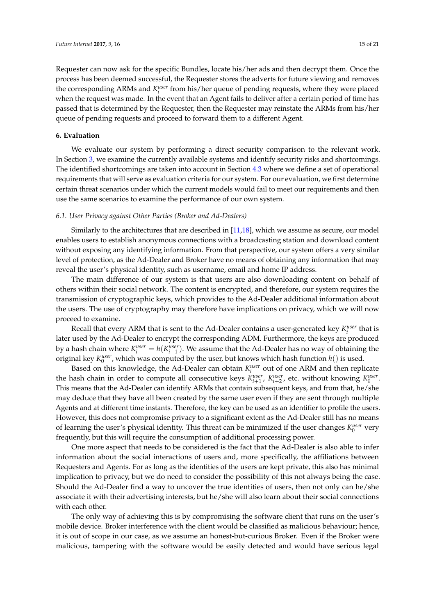Requester can now ask for the specific Bundles, locate his/her ads and then decrypt them. Once the process has been deemed successful, the Requester stores the adverts for future viewing and removes the corresponding ARMs and  $K_i^{user}$  from his/her queue of pending requests, where they were placed when the request was made. In the event that an Agent fails to deliver after a certain period of time has passed that is determined by the Requester, then the Requester may reinstate the ARMs from his/her queue of pending requests and proceed to forward them to a different Agent.

# <span id="page-14-0"></span>**6. Evaluation**

We evaluate our system by performing a direct security comparison to the relevant work. In Section [3,](#page-2-0) we examine the currently available systems and identify security risks and shortcomings. The identified shortcomings are taken into account in Section [4.3](#page-6-1) where we define a set of operational requirements that will serve as evaluation criteria for our system. For our evaluation, we first determine certain threat scenarios under which the current models would fail to meet our requirements and then use the same scenarios to examine the performance of our own system.

#### *6.1. User Privacy against Other Parties (Broker and Ad-Dealers)*

Similarly to the architectures that are described in [\[11,](#page-20-2)[18\]](#page-20-9), which we assume as secure, our model enables users to establish anonymous connections with a broadcasting station and download content without exposing any identifying information. From that perspective, our system offers a very similar level of protection, as the Ad-Dealer and Broker have no means of obtaining any information that may reveal the user's physical identity, such as username, email and home IP address.

The main difference of our system is that users are also downloading content on behalf of others within their social network. The content is encrypted, and therefore, our system requires the transmission of cryptographic keys, which provides to the Ad-Dealer additional information about the users. The use of cryptography may therefore have implications on privacy, which we will now proceed to examine.

Recall that every ARM that is sent to the Ad-Dealer contains a user-generated key  $K_i^{user}$  that is later used by the Ad-Dealer to encrypt the corresponding ADM. Furthermore, the keys are produced by a hash chain where  $K_i^{user} = h(K_{i-1}^{user})$ . We assume that the Ad-Dealer has no way of obtaining the original key  $K_0^{user}$ , which was computed by the user, but knows which hash function  $h()$  is used.

Based on this knowledge, the Ad-Dealer can obtain  $K_i^{user}$  out of one ARM and then replicate the hash chain in order to compute all consecutive keys  $K_{i+1}^{user}$ ,  $K_{i+2}^{user}$ , etc. without knowing  $K_0^{user}$ . This means that the Ad-Dealer can identify ARMs that contain subsequent keys, and from that, he/she may deduce that they have all been created by the same user even if they are sent through multiple Agents and at different time instants. Therefore, the key can be used as an identifier to profile the users. However, this does not compromise privacy to a significant extent as the Ad-Dealer still has no means of learning the user's physical identity. This threat can be minimized if the user changes  $K_0^{user}$  very frequently, but this will require the consumption of additional processing power.

One more aspect that needs to be considered is the fact that the Ad-Dealer is also able to infer information about the social interactions of users and, more specifically, the affiliations between Requesters and Agents. For as long as the identities of the users are kept private, this also has minimal implication to privacy, but we do need to consider the possibility of this not always being the case. Should the Ad-Dealer find a way to uncover the true identities of users, then not only can he/she associate it with their advertising interests, but he/she will also learn about their social connections with each other.

The only way of achieving this is by compromising the software client that runs on the user's mobile device. Broker interference with the client would be classified as malicious behaviour; hence, it is out of scope in our case, as we assume an honest-but-curious Broker. Even if the Broker were malicious, tampering with the software would be easily detected and would have serious legal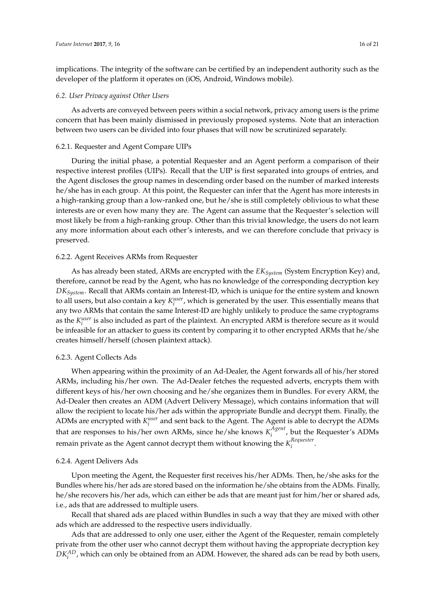implications. The integrity of the software can be certified by an independent authority such as the developer of the platform it operates on (iOS, Android, Windows mobile).

#### *6.2. User Privacy against Other Users*

As adverts are conveyed between peers within a social network, privacy among users is the prime concern that has been mainly dismissed in previously proposed systems. Note that an interaction between two users can be divided into four phases that will now be scrutinized separately.

# 6.2.1. Requester and Agent Compare UIPs

During the initial phase, a potential Requester and an Agent perform a comparison of their respective interest profiles (UIPs). Recall that the UIP is first separated into groups of entries, and the Agent discloses the group names in descending order based on the number of marked interests he/she has in each group. At this point, the Requester can infer that the Agent has more interests in a high-ranking group than a low-ranked one, but he/she is still completely oblivious to what these interests are or even how many they are. The Agent can assume that the Requester's selection will most likely be from a high-ranking group. Other than this trivial knowledge, the users do not learn any more information about each other's interests, and we can therefore conclude that privacy is preserved.

### 6.2.2. Agent Receives ARMs from Requester

As has already been stated, ARMs are encrypted with the *EKSystem* (System Encryption Key) and, therefore, cannot be read by the Agent, who has no knowledge of the corresponding decryption key *DKSystem*. Recall that ARMs contain an Interest-ID, which is unique for the entire system and known to all users, but also contain a key  $K_i^{user}$ , which is generated by the user. This essentially means that any two ARMs that contain the same Interest-ID are highly unlikely to produce the same cryptograms as the  $K_i^{user}$  is also included as part of the plaintext. An encrypted ARM is therefore secure as it would be infeasible for an attacker to guess its content by comparing it to other encrypted ARMs that he/she creates himself/herself (chosen plaintext attack).

#### 6.2.3. Agent Collects Ads

When appearing within the proximity of an Ad-Dealer, the Agent forwards all of his/her stored ARMs, including his/her own. The Ad-Dealer fetches the requested adverts, encrypts them with different keys of his/her own choosing and he/she organizes them in Bundles. For every ARM, the Ad-Dealer then creates an ADM (Advert Delivery Message), which contains information that will allow the recipient to locate his/her ads within the appropriate Bundle and decrypt them. Finally, the ADMs are encrypted with  $K_i^{user}$  and sent back to the Agent. The Agent is able to decrypt the ADMs that are responses to his/her own ARMs, since he/she knows  $K_i^{Agent}$  $\sum_{i}^{n}$ , but the Requester's ADMs remain private as the Agent cannot decrypt them without knowing the *K Requester i* .

## 6.2.4. Agent Delivers Ads

Upon meeting the Agent, the Requester first receives his/her ADMs. Then, he/she asks for the Bundles where his/her ads are stored based on the information he/she obtains from the ADMs. Finally, he/she recovers his/her ads, which can either be ads that are meant just for him/her or shared ads, i.e., ads that are addressed to multiple users.

Recall that shared ads are placed within Bundles in such a way that they are mixed with other ads which are addressed to the respective users individually.

Ads that are addressed to only one user, either the Agent of the Requester, remain completely private from the other user who cannot decrypt them without having the appropriate decryption key *DKAD i* , which can only be obtained from an ADM. However, the shared ads can be read by both users,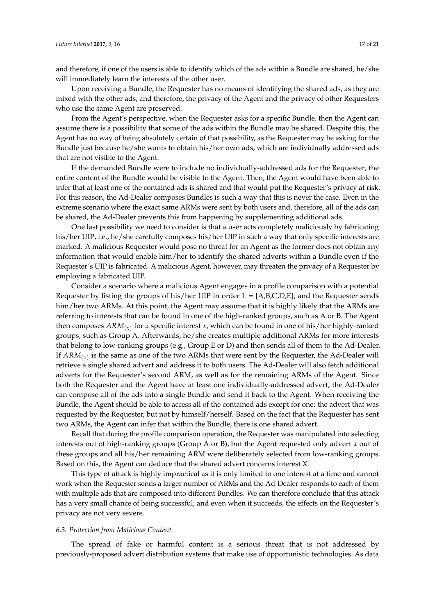and therefore, if one of the users is able to identify which of the ads within a Bundle are shared, he/she will immediately learn the interests of the other user.

Upon receiving a Bundle, the Requester has no means of identifying the shared ads, as they are mixed with the other ads, and therefore, the privacy of the Agent and the privacy of other Requesters who use the same Agent are preserved.

From the Agent's perspective, when the Requester asks for a specific Bundle, then the Agent can assume there is a possibility that some of the ads within the Bundle may be shared. Despite this, the Agent has no way of being absolutely certain of that possibility, as the Requester may be asking for the Bundle just because he/she wants to obtain his/her own ads, which are individually addressed ads that are not visible to the Agent.

If the demanded Bundle were to include no individually-addressed ads for the Requester, the entire content of the Bundle would be visible to the Agent. Then, the Agent would have been able to infer that at least one of the contained ads is shared and that would put the Requester's privacy at risk. For this reason, the Ad-Dealer composes Bundles is such a way that this is never the case. Even in the extreme scenario where the exact same ARMs were sent by both users and, therefore, all of the ads can be shared, the Ad-Dealer prevents this from happening by supplementing additional ads.

One last possibility we need to consider is that a user acts completely maliciously by fabricating his/her UIP, i.e., he/she carefully composes his/her UIP in such a way that only specific interests are marked. A malicious Requester would pose no threat for an Agent as the former does not obtain any information that would enable him/her to identify the shared adverts within a Bundle even if the Requester's UIP is fabricated. A malicious Agent, however, may threaten the privacy of a Requester by employing a fabricated UIP.

Consider a scenario where a malicious Agent engages in a profile comparison with a potential Requester by listing the groups of his/her UIP in order  $L = [A,B,C,D,E]$ , and the Requester sends him/her two ARMs. At this point, the Agent may assume that it is highly likely that the ARMs are referring to interests that can be found in one of the high-ranked groups, such as A or B. The Agent then composes *ARM*(*x*) for a specific interest *x*, which can be found in one of his/her highly-ranked groups, such as Group A. Afterwards, he/she creates multiple additional ARMs for more interests that belong to low-ranking groups (e.g., Group E or D) and then sends all of them to the Ad-Dealer. If *ARM*(*x*) is the same as one of the two ARMs that were sent by the Requester, the Ad-Dealer will retrieve a single shared advert and address it to both users. The Ad-Dealer will also fetch additional adverts for the Requester's second ARM, as well as for the remaining ARMs of the Agent. Since both the Requester and the Agent have at least one individually-addressed advert, the Ad-Dealer can compose all of the ads into a single Bundle and send it back to the Agent. When receiving the Bundle, the Agent should be able to access all of the contained ads except for one: the advert that was requested by the Requester, but not by himself/herself. Based on the fact that the Requester has sent two ARMs, the Agent can infer that within the Bundle, there is one shared advert.

Recall that during the profile comparison operation, the Requester was manipulated into selecting interests out of high-ranking groups (Group A or B), but the Agent requested only advert *x* out of these groups and all his/her remaining ARM were deliberately selected from low-ranking groups. Based on this, the Agent can deduce that the shared advert concerns interest X.

This type of attack is highly impractical as it is only limited to one interest at a time and cannot work when the Requester sends a larger number of ARMs and the Ad-Dealer responds to each of them with multiple ads that are composed into different Bundles. We can therefore conclude that this attack has a very small chance of being successful, and even when it succeeds, the effects on the Requester's privacy are not very severe.

## *6.3. Protection from Malicious Content*

The spread of fake or harmful content is a serious threat that is not addressed by previously-proposed advert distribution systems that make use of opportunistic technologies. As data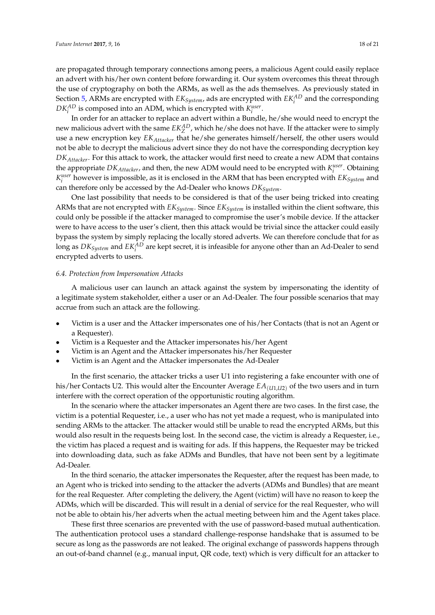are propagated through temporary connections among peers, a malicious Agent could easily replace an advert with his/her own content before forwarding it. Our system overcomes this threat through the use of cryptography on both the ARMs, as well as the ads themselves. As previously stated in Section [5,](#page-6-0) ARMs are encrypted with  $EK_{System}$ , ads are encrypted with  $EK_i^{AD}$  and the corresponding  $DK_i^{AD}$  is composed into an ADM, which is encrypted with  $K_i^{user}$ .

In order for an attacker to replace an advert within a Bundle, he/she would need to encrypt the new malicious advert with the same  $EK_Z^{AD}$ , which he/she does not have. If the attacker were to simply use a new encryption key *EKAttacker* that he/she generates himself/herself, the other users would not be able to decrypt the malicious advert since they do not have the corresponding decryption key *DKAttacker*. For this attack to work, the attacker would first need to create a new ADM that contains the appropriate  $DK_{Attacker}$ , and then, the new ADM would need to be encrypted with  $K_i^{user}$ . Obtaining  $K_i^{user}$  however is impossible, as it is enclosed in the ARM that has been encrypted with  $EK_{System}$  and can therefore only be accessed by the Ad-Dealer who knows *DKSystem*.

One last possibility that needs to be considered is that of the user being tricked into creating ARMs that are not encrypted with *EKSystem*. Since *EKSystem* is installed within the client software, this could only be possible if the attacker managed to compromise the user's mobile device. If the attacker were to have access to the user's client, then this attack would be trivial since the attacker could easily bypass the system by simply replacing the locally stored adverts. We can therefore conclude that for as long as  $DK_{System}$  and  $EK^{AD}_{i}$  are kept secret, it is infeasible for anyone other than an Ad-Dealer to send encrypted adverts to users.

#### *6.4. Protection from Impersonation Attacks*

A malicious user can launch an attack against the system by impersonating the identity of a legitimate system stakeholder, either a user or an Ad-Dealer. The four possible scenarios that may accrue from such an attack are the following.

- Victim is a user and the Attacker impersonates one of his/her Contacts (that is not an Agent or a Requester).
- Victim is a Requester and the Attacker impersonates his/her Agent
- Victim is an Agent and the Attacker impersonates his/her Requester
- Victim is an Agent and the Attacker impersonates the Ad-Dealer

In the first scenario, the attacker tricks a user U1 into registering a fake encounter with one of his/her Contacts U2. This would alter the Encounter Average  $EA_{(U1,U2)}$  of the two users and in turn interfere with the correct operation of the opportunistic routing algorithm.

In the scenario where the attacker impersonates an Agent there are two cases. In the first case, the victim is a potential Requester, i.e., a user who has not yet made a request, who is manipulated into sending ARMs to the attacker. The attacker would still be unable to read the encrypted ARMs, but this would also result in the requests being lost. In the second case, the victim is already a Requester, i.e., the victim has placed a request and is waiting for ads. If this happens, the Requester may be tricked into downloading data, such as fake ADMs and Bundles, that have not been sent by a legitimate Ad-Dealer.

In the third scenario, the attacker impersonates the Requester, after the request has been made, to an Agent who is tricked into sending to the attacker the adverts (ADMs and Bundles) that are meant for the real Requester. After completing the delivery, the Agent (victim) will have no reason to keep the ADMs, which will be discarded. This will result in a denial of service for the real Requester, who will not be able to obtain his/her adverts when the actual meeting between him and the Agent takes place.

These first three scenarios are prevented with the use of password-based mutual authentication. The authentication protocol uses a standard challenge-response handshake that is assumed to be secure as long as the passwords are not leaked. The original exchange of passwords happens through an out-of-band channel (e.g., manual input, QR code, text) which is very difficult for an attacker to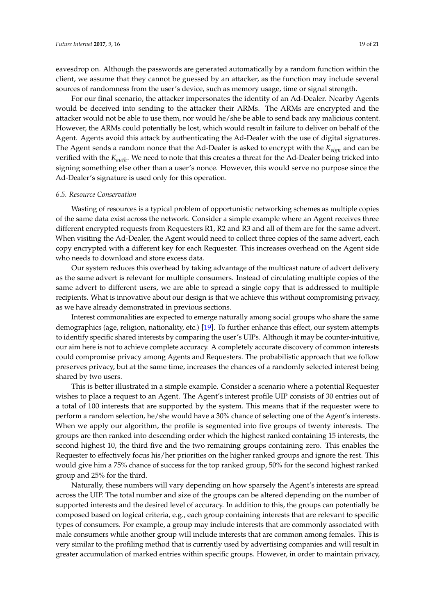eavesdrop on. Although the passwords are generated automatically by a random function within the client, we assume that they cannot be guessed by an attacker, as the function may include several sources of randomness from the user's device, such as memory usage, time or signal strength.

For our final scenario, the attacker impersonates the identity of an Ad-Dealer. Nearby Agents would be deceived into sending to the attacker their ARMs. The ARMs are encrypted and the attacker would not be able to use them, nor would he/she be able to send back any malicious content. However, the ARMs could potentially be lost, which would result in failure to deliver on behalf of the Agent. Agents avoid this attack by authenticating the Ad-Dealer with the use of digital signatures. The Agent sends a random nonce that the Ad-Dealer is asked to encrypt with the *Ksign* and can be verified with the *Kauth*. We need to note that this creates a threat for the Ad-Dealer being tricked into signing something else other than a user's nonce. However, this would serve no purpose since the Ad-Dealer's signature is used only for this operation.

#### *6.5. Resource Conservation*

Wasting of resources is a typical problem of opportunistic networking schemes as multiple copies of the same data exist across the network. Consider a simple example where an Agent receives three different encrypted requests from Requesters R1, R2 and R3 and all of them are for the same advert. When visiting the Ad-Dealer, the Agent would need to collect three copies of the same advert, each copy encrypted with a different key for each Requester. This increases overhead on the Agent side who needs to download and store excess data.

Our system reduces this overhead by taking advantage of the multicast nature of advert delivery as the same advert is relevant for multiple consumers. Instead of circulating multiple copies of the same advert to different users, we are able to spread a single copy that is addressed to multiple recipients. What is innovative about our design is that we achieve this without compromising privacy, as we have already demonstrated in previous sections.

Interest commonalities are expected to emerge naturally among social groups who share the same demographics (age, religion, nationality, etc.) [\[19\]](#page-20-10). To further enhance this effect, our system attempts to identify specific shared interests by comparing the user's UIPs. Although it may be counter-intuitive, our aim here is not to achieve complete accuracy. A completely accurate discovery of common interests could compromise privacy among Agents and Requesters. The probabilistic approach that we follow preserves privacy, but at the same time, increases the chances of a randomly selected interest being shared by two users.

This is better illustrated in a simple example. Consider a scenario where a potential Requester wishes to place a request to an Agent. The Agent's interest profile UIP consists of 30 entries out of a total of 100 interests that are supported by the system. This means that if the requester were to perform a random selection, he/she would have a 30% chance of selecting one of the Agent's interests. When we apply our algorithm, the profile is segmented into five groups of twenty interests. The groups are then ranked into descending order which the highest ranked containing 15 interests, the second highest 10, the third five and the two remaining groups containing zero. This enables the Requester to effectively focus his/her priorities on the higher ranked groups and ignore the rest. This would give him a 75% chance of success for the top ranked group, 50% for the second highest ranked group and 25% for the third.

Naturally, these numbers will vary depending on how sparsely the Agent's interests are spread across the UIP. The total number and size of the groups can be altered depending on the number of supported interests and the desired level of accuracy. In addition to this, the groups can potentially be composed based on logical criteria, e.g., each group containing interests that are relevant to specific types of consumers. For example, a group may include interests that are commonly associated with male consumers while another group will include interests that are common among females. This is very similar to the profiling method that is currently used by advertising companies and will result in greater accumulation of marked entries within specific groups. However, in order to maintain privacy,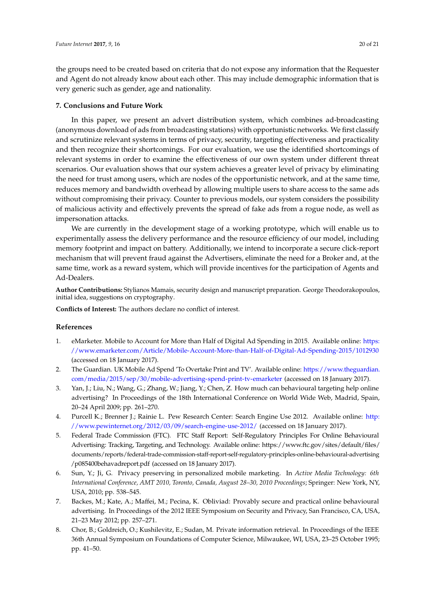the groups need to be created based on criteria that do not expose any information that the Requester and Agent do not already know about each other. This may include demographic information that is very generic such as gender, age and nationality.

# <span id="page-19-4"></span>**7. Conclusions and Future Work**

In this paper, we present an advert distribution system, which combines ad-broadcasting (anonymous download of ads from broadcasting stations) with opportunistic networks. We first classify and scrutinize relevant systems in terms of privacy, security, targeting effectiveness and practicality and then recognize their shortcomings. For our evaluation, we use the identified shortcomings of relevant systems in order to examine the effectiveness of our own system under different threat scenarios. Our evaluation shows that our system achieves a greater level of privacy by eliminating the need for trust among users, which are nodes of the opportunistic network, and at the same time, reduces memory and bandwidth overhead by allowing multiple users to share access to the same ads without compromising their privacy. Counter to previous models, our system considers the possibility of malicious activity and effectively prevents the spread of fake ads from a rogue node, as well as impersonation attacks.

We are currently in the development stage of a working prototype, which will enable us to experimentally assess the delivery performance and the resource efficiency of our model, including memory footprint and impact on battery. Additionally, we intend to incorporate a secure click-report mechanism that will prevent fraud against the Advertisers, eliminate the need for a Broker and, at the same time, work as a reward system, which will provide incentives for the participation of Agents and Ad-Dealers.

**Author Contributions:** Stylianos Mamais, security design and manuscript preparation. George Theodorakopoulos, initial idea, suggestions on cryptography.

**Conflicts of Interest:** The authors declare no conflict of interest.

#### **References**

- <span id="page-19-0"></span>1. eMarketer. Mobile to Account for More than Half of Digital Ad Spending in 2015. Available online: [https:](https://www.emarketer.com/Article/Mobile-Account-More-than-Half-of-Digital-Ad-Spending-2015/1012930) [//www.emarketer.com/Article/Mobile-Account-More-than-Half-of-Digital-Ad-Spending-2015/1012930](https://www.emarketer.com/Article/Mobile-Account-More-than-Half-of-Digital-Ad-Spending-2015/1012930) (accessed on 18 January 2017).
- <span id="page-19-1"></span>2. The Guardian. UK Mobile Ad Spend 'To Overtake Print and TV'. Available online: [https://www.theguardian.](https://www.theguardian.com/media/2015/sep/30/mobile-advertising-spend-print-tv-emarketer) [com/media/2015/sep/30/mobile-advertising-spend-print-tv-emarketer](https://www.theguardian.com/media/2015/sep/30/mobile-advertising-spend-print-tv-emarketer) (accessed on 18 January 2017).
- <span id="page-19-2"></span>3. Yan, J.; Liu, N.; Wang, G.; Zhang, W.; Jiang, Y.; Chen, Z. How much can behavioural targeting help online advertising? In Proceedings of the 18th International Conference on World Wide Web, Madrid, Spain, 20–24 April 2009; pp. 261–270.
- <span id="page-19-3"></span>4. Purcell K.; Brenner J.; Rainie L. Pew Research Center: Search Engine Use 2012. Available online: [http:](http://www.pewinternet.org/2012/03/09/search-engine-use-2012/) [//www.pewinternet.org/2012/03/09/search-engine-use-2012/](http://www.pewinternet.org/2012/03/09/search-engine-use-2012/) (accessed on 18 January 2017).
- <span id="page-19-5"></span>5. Federal Trade Commission (FTC). FTC Staff Report: Self-Regulatory Principles For Online Behavioural Advertising: Tracking, Targeting, and Technology. Available online: https://www.ftc.gov/sites/default/files/ documents/reports/federal-trade-commission-staff-report-self-regulatory-principles-online-behavioural-advertising /p085400behavadreport.pdf (accessed on 18 January 2017).
- <span id="page-19-6"></span>6. Sun, Y.; Ji, G. Privacy preserving in personalized mobile marketing. In *Active Media Technology: 6th International Conference, AMT 2010, Toronto, Canada, August 28–30, 2010 Proceedings*; Springer: New York, NY, USA, 2010; pp. 538–545.
- <span id="page-19-7"></span>7. Backes, M.; Kate, A.; Maffei, M.; Pecina, K. Obliviad: Provably secure and practical online behavioural advertising. In Proceedings of the 2012 IEEE Symposium on Security and Privacy, San Francisco, CA, USA, 21–23 May 2012; pp. 257–271.
- <span id="page-19-8"></span>8. Chor, B.; Goldreich, O.; Kushilevitz, E.; Sudan, M. Private information retrieval. In Proceedings of the IEEE 36th Annual Symposium on Foundations of Computer Science, Milwaukee, WI, USA, 23–25 October 1995; pp. 41–50.